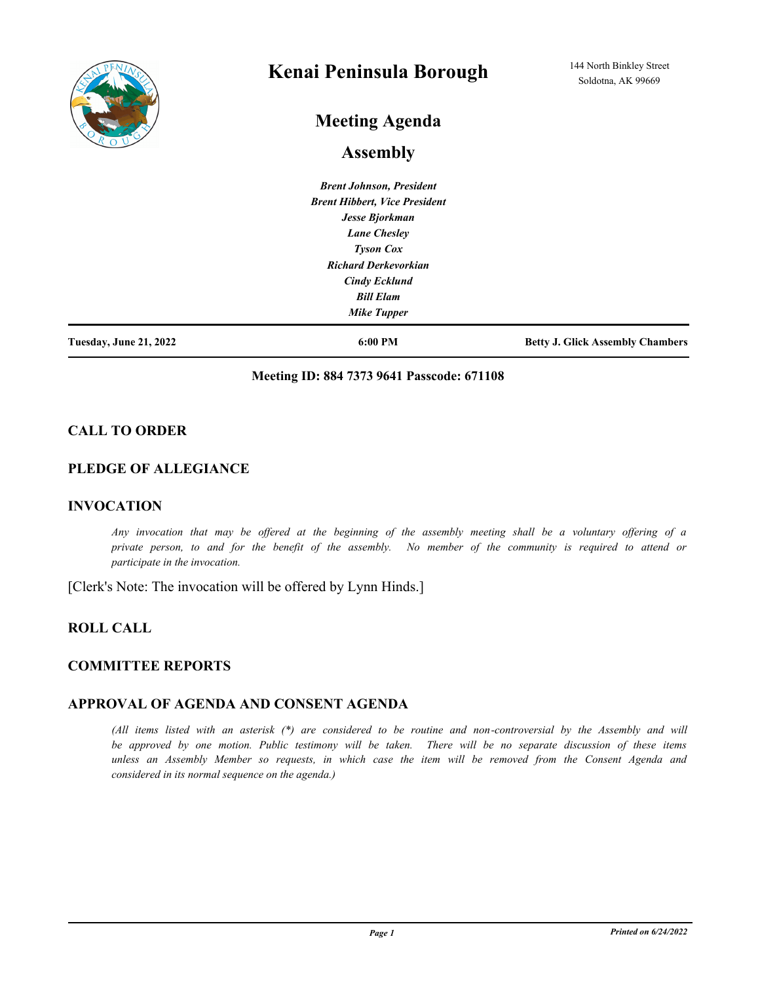

# **Kenai Peninsula Borough**

# **Meeting Agenda**

## **Assembly**

*Brent Johnson, President Brent Hibbert, Vice President Jesse Bjorkman Lane Chesley Tyson Cox Richard Derkevorkian Cindy Ecklund Bill Elam Mike Tupper*

**Tuesday, June 21, 2022 6:00 PM Betty J. Glick Assembly Chambers**

#### **Meeting ID: 884 7373 9641 Passcode: 671108**

### **CALL TO ORDER**

#### **PLEDGE OF ALLEGIANCE**

#### **INVOCATION**

*Any invocation that may be offered at the beginning of the assembly meeting shall be a voluntary offering of a private person, to and for the benefit of the assembly. No member of the community is required to attend or participate in the invocation.*

[Clerk's Note: The invocation will be offered by Lynn Hinds.]

## **ROLL CALL**

### **COMMITTEE REPORTS**

#### **APPROVAL OF AGENDA AND CONSENT AGENDA**

*(All items listed with an asterisk (\*) are considered to be routine and non-controversial by the Assembly and will be approved by one motion. Public testimony will be taken. There will be no separate discussion of these items unless an Assembly Member so requests, in which case the item will be removed from the Consent Agenda and considered in its normal sequence on the agenda.)*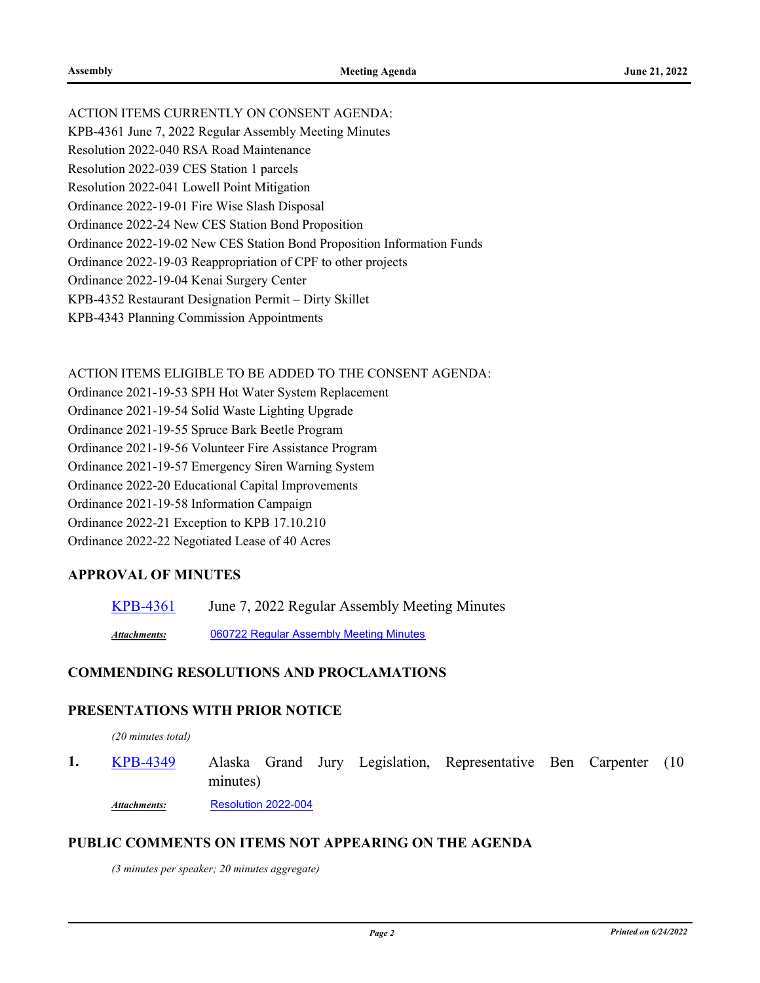ACTION ITEMS CURRENTLY ON CONSENT AGENDA: KPB-4361 June 7, 2022 Regular Assembly Meeting Minutes Resolution 2022-040 RSA Road Maintenance Resolution 2022-039 CES Station 1 parcels

Resolution 2022-041 Lowell Point Mitigation

Ordinance 2022-19-01 Fire Wise Slash Disposal

Ordinance 2022-24 New CES Station Bond Proposition

Ordinance 2022-19-02 New CES Station Bond Proposition Information Funds

Ordinance 2022-19-03 Reappropriation of CPF to other projects

Ordinance 2022-19-04 Kenai Surgery Center

KPB-4352 Restaurant Designation Permit – Dirty Skillet

KPB-4343 Planning Commission Appointments

ACTION ITEMS ELIGIBLE TO BE ADDED TO THE CONSENT AGENDA:

Ordinance 2021-19-53 SPH Hot Water System Replacement

Ordinance 2021-19-54 Solid Waste Lighting Upgrade

Ordinance 2021-19-55 Spruce Bark Beetle Program

Ordinance 2021-19-56 Volunteer Fire Assistance Program

Ordinance 2021-19-57 Emergency Siren Warning System

Ordinance 2022-20 Educational Capital Improvements

Ordinance 2021-19-58 Information Campaign

Ordinance 2022-21 Exception to KPB 17.10.210

Ordinance 2022-22 Negotiated Lease of 40 Acres

### **APPROVAL OF MINUTES**

[KPB-4361](http://kpb.legistar.com/gateway.aspx?m=l&id=/matter.aspx?key=25851) June 7, 2022 Regular Assembly Meeting Minutes

*Attachments:* [060722 Regular Assembly Meeting Minutes](http://kpb.legistar.com/gateway.aspx?M=F&ID=03a20d02-081f-4b1d-b2ce-0e8c5d2d8287.pdf)

### **COMMENDING RESOLUTIONS AND PROCLAMATIONS**

### **PRESENTATIONS WITH PRIOR NOTICE**

*(20 minutes total)*

Alaska Grand Jury Legislation, Representative Ben Carpenter (10 minutes) **1.** [KPB-4349](http://kpb.legistar.com/gateway.aspx?m=l&id=/matter.aspx?key=25839) *Attachments:* [Resolution 2022-004](http://kpb.legistar.com/gateway.aspx?M=F&ID=c7822ce5-797f-4836-9a04-7ccea08c63d2.pdf)

#### **PUBLIC COMMENTS ON ITEMS NOT APPEARING ON THE AGENDA**

*(3 minutes per speaker; 20 minutes aggregate)*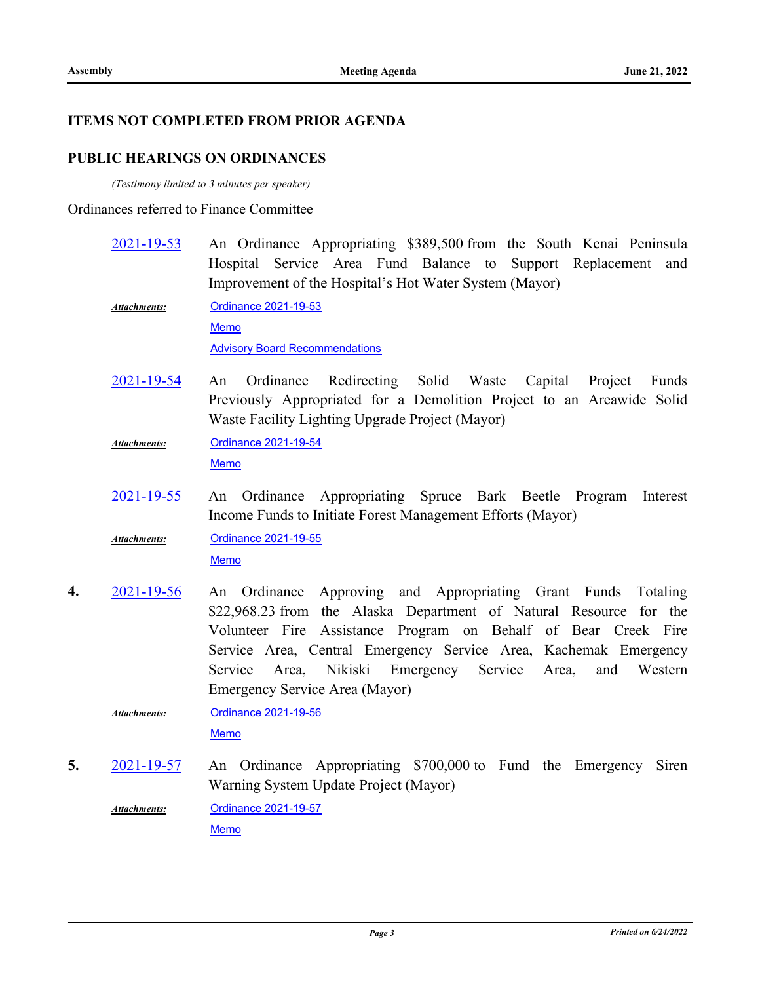**4.** [2021-19-56](http://kpb.legistar.com/gateway.aspx?m=l&id=/matter.aspx?key=25765)

## **ITEMS NOT COMPLETED FROM PRIOR AGENDA**

## **PUBLIC HEARINGS ON ORDINANCES**

*(Testimony limited to 3 minutes per speaker)*

### Ordinances referred to Finance Committee

|    | 2021-19-53          | An Ordinance Appropriating \$389,500 from the South Kenai Peninsula<br>Hospital Service Area Fund Balance to Support Replacement and<br>Improvement of the Hospital's Hot Water System (Mayor)                                                                                                                                                                                             |
|----|---------------------|--------------------------------------------------------------------------------------------------------------------------------------------------------------------------------------------------------------------------------------------------------------------------------------------------------------------------------------------------------------------------------------------|
|    | <b>Attachments:</b> | <b>Ordinance 2021-19-53</b><br>Memo<br><b>Advisory Board Recommendations</b>                                                                                                                                                                                                                                                                                                               |
|    | 2021-19-54          | Redirecting<br>Solid Waste<br>Ordinance<br>Capital<br>Project<br>Funds<br>An<br>Previously Appropriated for a Demolition Project to an Areawide Solid<br>Waste Facility Lighting Upgrade Project (Mayor)                                                                                                                                                                                   |
|    | <b>Attachments:</b> | Ordinance 2021-19-54<br><b>Memo</b>                                                                                                                                                                                                                                                                                                                                                        |
|    | 2021-19-55          | An Ordinance Appropriating Spruce Bark Beetle Program<br>Interest<br>Income Funds to Initiate Forest Management Efforts (Mayor)                                                                                                                                                                                                                                                            |
|    | <b>Attachments:</b> | Ordinance 2021-19-55<br>Memo                                                                                                                                                                                                                                                                                                                                                               |
| 4. | 2021-19-56          | Ordinance Approving and Appropriating Grant Funds Totaling<br>An<br>\$22,968.23 from the Alaska Department of Natural Resource for the<br>Volunteer Fire Assistance Program on Behalf of Bear Creek Fire<br>Service Area, Central Emergency Service Area, Kachemak Emergency<br>Nikiski Emergency Service<br>Service<br>and<br>Western<br>Area,<br>Area,<br>Emergency Service Area (Mayor) |
|    | <b>Attachments:</b> | Ordinance 2021-19-56<br><b>Memo</b>                                                                                                                                                                                                                                                                                                                                                        |
| 5. | 2021-19-57          | An Ordinance Appropriating \$700,000 to Fund the Emergency<br>Siren<br>Warning System Update Project (Mayor)                                                                                                                                                                                                                                                                               |

[Ordinance 2021-19-57](http://kpb.legistar.com/gateway.aspx?M=F&ID=6e2960b7-b17c-454c-83c0-aca68b08112d.pdf) [Memo](http://kpb.legistar.com/gateway.aspx?M=F&ID=bf1f9d64-757b-4737-8ede-cfd4e85ef0bf.pdf) *Attachments:*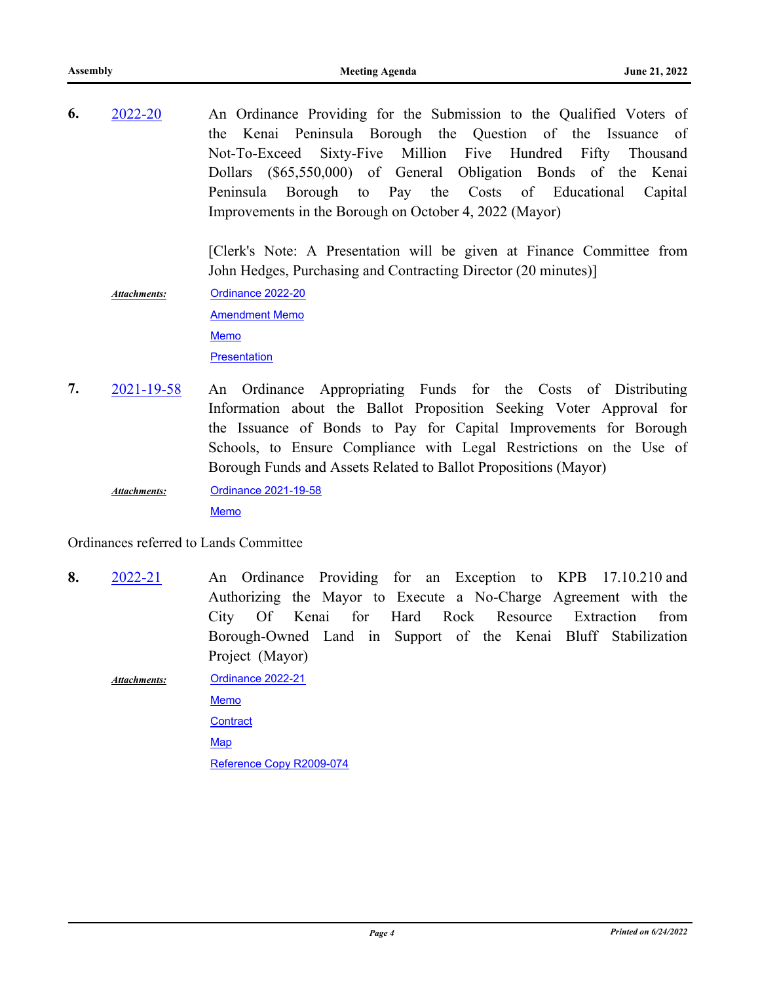An Ordinance Providing for the Submission to the Qualified Voters of the Kenai Peninsula Borough the Question of the Issuance of Not-To-Exceed Sixty-Five Million Five Hundred Fifty Thousand Dollars (\$65,550,000) of General Obligation Bonds of the Kenai Peninsula Borough to Pay the Costs of Educational Capital Improvements in the Borough on October 4, 2022 (Mayor) **6.** [2022-20](http://kpb.legistar.com/gateway.aspx?m=l&id=/matter.aspx?key=25782)

> [Clerk's Note: A Presentation will be given at Finance Committee from John Hedges, Purchasing and Contracting Director (20 minutes)]

- [Ordinance 2022-20](http://kpb.legistar.com/gateway.aspx?M=F&ID=a3381927-8ead-4672-97e9-acf0dc30279a.pdf) [Amendment Memo](http://kpb.legistar.com/gateway.aspx?M=F&ID=44e1ed8a-862a-4c10-90f1-4cceffe1d336.pdf) [Memo](http://kpb.legistar.com/gateway.aspx?M=F&ID=d9448bba-741e-4c0d-8acf-7c2eb219c2e0.pdf) **[Presentation](http://kpb.legistar.com/gateway.aspx?M=F&ID=11f8aef5-ef3a-4729-99f4-1d748e5abea8.pptx)** *Attachments:*
- An Ordinance Appropriating Funds for the Costs of Distributing Information about the Ballot Proposition Seeking Voter Approval for the Issuance of Bonds to Pay for Capital Improvements for Borough Schools, to Ensure Compliance with Legal Restrictions on the Use of Borough Funds and Assets Related to Ballot Propositions (Mayor) **7.** [2021-19-58](http://kpb.legistar.com/gateway.aspx?m=l&id=/matter.aspx?key=25781)
	- [Ordinance 2021-19-58](http://kpb.legistar.com/gateway.aspx?M=F&ID=ac4dbfbc-7a03-4c94-be97-798b0e3831fd.pdf) [Memo](http://kpb.legistar.com/gateway.aspx?M=F&ID=fe22668e-bbea-4707-ab02-ceb05ae63f5a.pdf) *Attachments:*

Ordinances referred to Lands Committee

An Ordinance Providing for an Exception to KPB 17.10.210 and Authorizing the Mayor to Execute a No-Charge Agreement with the City Of Kenai for Hard Rock Resource Extraction from Borough-Owned Land in Support of the Kenai Bluff Stabilization Project (Mayor) **8.** [2022-21](http://kpb.legistar.com/gateway.aspx?m=l&id=/matter.aspx?key=25777)

[Ordinance 2022-21](http://kpb.legistar.com/gateway.aspx?M=F&ID=93da9f4f-c271-4719-b220-bd9d17e52d45.pdf) [Memo](http://kpb.legistar.com/gateway.aspx?M=F&ID=fd6ac4a0-d381-4830-8a5f-b3ad609e87a7.pdf) **[Contract](http://kpb.legistar.com/gateway.aspx?M=F&ID=d9ef8156-9e47-4a79-bac0-c737a68f430c.docx)** [Map](http://kpb.legistar.com/gateway.aspx?M=F&ID=21e6fe56-d84e-461d-b23f-9f17ea5503a3.pdf) [Reference Copy R2009-074](http://kpb.legistar.com/gateway.aspx?M=F&ID=48221b52-fdb5-4a65-b564-03610bfdd7d9.pdf) *Attachments:*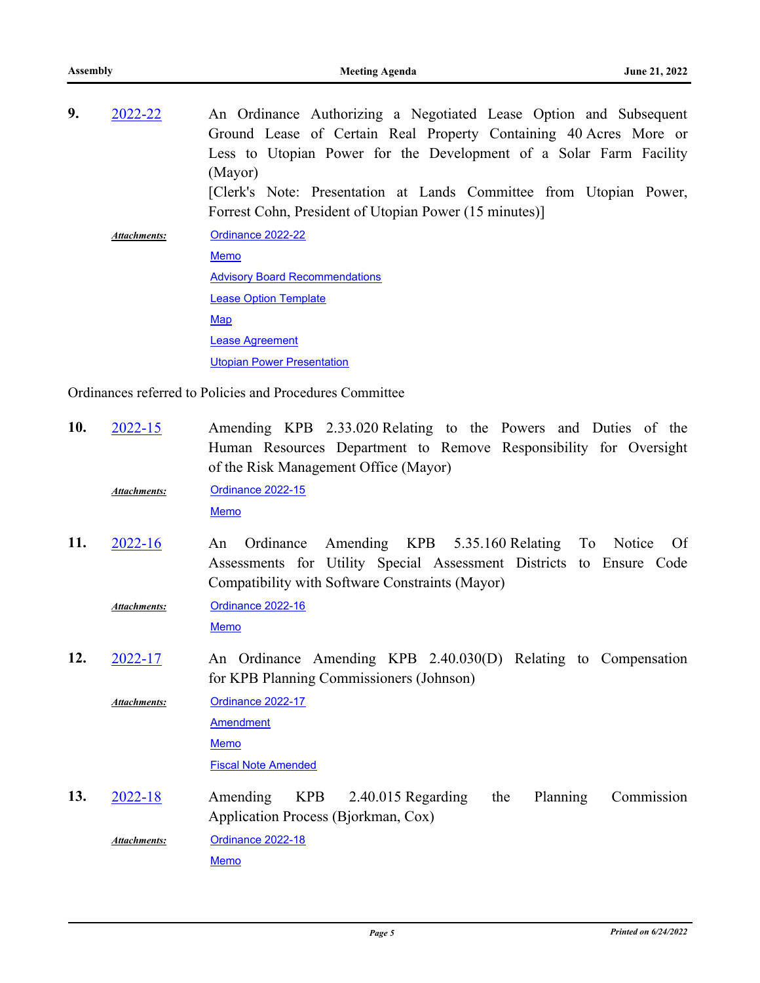| 9. | 2022-22      | An Ordinance Authorizing a Negotiated Lease Option and Subsequent  |
|----|--------------|--------------------------------------------------------------------|
|    |              | Ground Lease of Certain Real Property Containing 40 Acres More or  |
|    |              | Less to Utopian Power for the Development of a Solar Farm Facility |
|    |              | (Mayor)                                                            |
|    |              | [Clerk's Note: Presentation at Lands Committee from Utopian Power, |
|    |              | Forrest Cohn, President of Utopian Power (15 minutes)]             |
|    | Attachments: | Ordinance 2022-22                                                  |
|    |              | <b>Memo</b>                                                        |
|    |              | <b>Advisory Board Recommendations</b>                              |
|    |              | <b>Lease Option Template</b>                                       |
|    |              | Map                                                                |
|    |              | <b>Lease Agreement</b>                                             |
|    |              | <b>Utopian Power Presentation</b>                                  |

Ordinances referred to Policies and Procedures Committee

| 10. | $2022 - 15$  | Amending KPB 2.33.020 Relating to the Powers and Duties of the<br>Human Resources Department to Remove Responsibility for Oversight<br>of the Risk Management Office (Mayor)                |
|-----|--------------|---------------------------------------------------------------------------------------------------------------------------------------------------------------------------------------------|
|     | Attachments: | <b>Ordinance 2022-15</b><br><b>Memo</b>                                                                                                                                                     |
| 11. | $2022 - 16$  | Amending KPB 5.35.160 Relating To Notice<br>Ordinance<br>Of<br>An<br>Assessments for Utility Special Assessment Districts to Ensure Code<br>Compatibility with Software Constraints (Mayor) |
|     | Attachments: | Ordinance 2022-16<br><b>Memo</b>                                                                                                                                                            |
| 12. | 2022-17      | An Ordinance Amending KPB 2.40.030(D) Relating to Compensation<br>for KPB Planning Commissioners (Johnson)                                                                                  |
|     | Attachments: | Ordinance 2022-17<br><b>Amendment</b><br>Memo<br><b>Fiscal Note Amended</b>                                                                                                                 |
| 13. | $2022 - 18$  | <b>KPB</b><br>Amending<br>$2.40.015$ Regarding<br>the<br>Planning<br>Commission<br>Application Process (Bjorkman, Cox)                                                                      |
|     | Attachments: | Ordinance 2022-18<br><b>Memo</b>                                                                                                                                                            |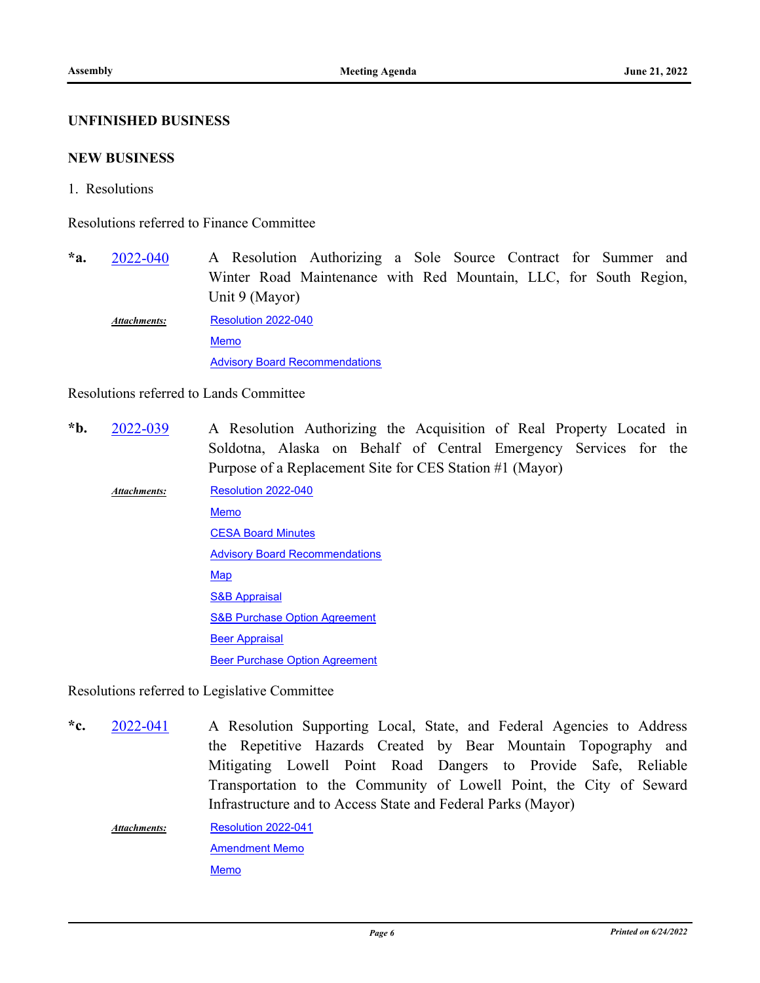#### **UNFINISHED BUSINESS**

#### **NEW BUSINESS**

1. Resolutions

Resolutions referred to Finance Committee

A Resolution Authorizing a Sole Source Contract for Summer and Winter Road Maintenance with Red Mountain, LLC, for South Region, Unit 9 (Mayor)  $*$ a. [2022-040](http://kpb.legistar.com/gateway.aspx?m=l&id=/matter.aspx?key=25837)

[Resolution 2022-040](http://kpb.legistar.com/gateway.aspx?M=F&ID=c7da01b7-b0c8-4d91-8f63-8b1c0c9a48f3.pdf) [Memo](http://kpb.legistar.com/gateway.aspx?M=F&ID=9a1a422a-d482-4115-91bd-5cb9ae77f8e9.pdf) **[Advisory Board Recommendations](http://kpb.legistar.com/gateway.aspx?M=F&ID=26ade848-b304-436d-b220-d78ef684eb09.pdf)** *Attachments:*

#### Resolutions referred to Lands Committee

A Resolution Authorizing the Acquisition of Real Property Located in Soldotna, Alaska on Behalf of Central Emergency Services for the Purpose of a Replacement Site for CES Station #1 (Mayor) **\*b.** [2022-039](http://kpb.legistar.com/gateway.aspx?m=l&id=/matter.aspx?key=25795)

[Resolution 2022-040](http://kpb.legistar.com/gateway.aspx?M=F&ID=c4906044-d612-47b7-873b-24f9e15d4ba4.pdf) [Memo](http://kpb.legistar.com/gateway.aspx?M=F&ID=35336ea5-56a0-4a74-90a8-31d1fd79f9ae.pdf) **[CESA Board Minutes](http://kpb.legistar.com/gateway.aspx?M=F&ID=108b8352-46fa-4387-88f1-5f15abbc32d1.pdf)** [Advisory Board Recommendations](http://kpb.legistar.com/gateway.aspx?M=F&ID=3e37f650-a187-4958-b159-53443557735a.pdf) **[Map](http://kpb.legistar.com/gateway.aspx?M=F&ID=2a179bcf-cdf3-4f5d-bbe8-b2ed9b07a682.pdf)** [S&B Appraisal](http://kpb.legistar.com/gateway.aspx?M=F&ID=dfc41295-ba98-45bb-ab5f-f3de2ab7ba21.pdf) [S&B Purchase Option Agreement](http://kpb.legistar.com/gateway.aspx?M=F&ID=2846b788-677a-48c7-a403-dcf38a92b93e.pdf) [Beer Appraisal](http://kpb.legistar.com/gateway.aspx?M=F&ID=22d2d82d-1952-4d1a-bfcb-77a60733deab.pdf) [Beer Purchase Option Agreement](http://kpb.legistar.com/gateway.aspx?M=F&ID=0c8d3c6e-546a-45fb-8c5e-5d21fe544b29.pdf) *Attachments:*

Resolutions referred to Legislative Committee

A Resolution Supporting Local, State, and Federal Agencies to Address the Repetitive Hazards Created by Bear Mountain Topography and Mitigating Lowell Point Road Dangers to Provide Safe, Reliable Transportation to the Community of Lowell Point, the City of Seward Infrastructure and to Access State and Federal Parks (Mayor) **\*c.** [2022-041](http://kpb.legistar.com/gateway.aspx?m=l&id=/matter.aspx?key=25838)

[Resolution 2022-041](http://kpb.legistar.com/gateway.aspx?M=F&ID=b3f634df-bef7-43df-a9c7-d9e9eee00ca8.pdf) [Amendment Memo](http://kpb.legistar.com/gateway.aspx?M=F&ID=2e999666-c0c1-438d-8033-464a9be62625.pdf) [Memo](http://kpb.legistar.com/gateway.aspx?M=F&ID=b703ad95-adc6-4521-b136-3f9f9d8c71d4.pdf) *Attachments:*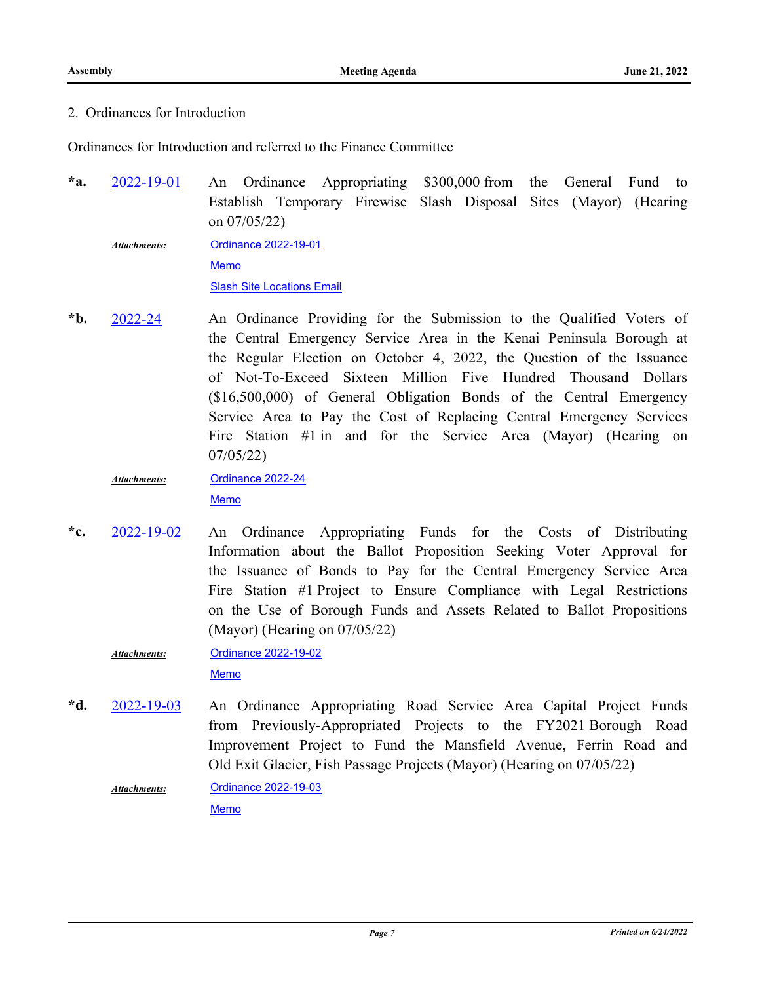## 2. Ordinances for Introduction

Ordinances for Introduction and referred to the Finance Committee

An Ordinance Appropriating \$300,000 from the General Fund to Establish Temporary Firewise Slash Disposal Sites (Mayor) (Hearing on 07/05/22) **\*a.** [2022-19-01](http://kpb.legistar.com/gateway.aspx?m=l&id=/matter.aspx?key=25834)

[Ordinance 2022-19-01](http://kpb.legistar.com/gateway.aspx?M=F&ID=331a5b88-7027-4c53-870d-c188111a99b8.docx) [Memo](http://kpb.legistar.com/gateway.aspx?M=F&ID=e90b40f1-25d8-42a6-ab27-4fd1d7f36ad8.pdf) **[Slash Site Locations Email](http://kpb.legistar.com/gateway.aspx?M=F&ID=a1774849-3e4a-4e23-938d-a4aedca87c4a.pdf)** *Attachments:*

An Ordinance Providing for the Submission to the Qualified Voters of the Central Emergency Service Area in the Kenai Peninsula Borough at the Regular Election on October 4, 2022, the Question of the Issuance of Not-To-Exceed Sixteen Million Five Hundred Thousand Dollars (\$16,500,000) of General Obligation Bonds of the Central Emergency Service Area to Pay the Cost of Replacing Central Emergency Services Fire Station #1 in and for the Service Area (Mayor) (Hearing on 07/05/22) **\*b.** [2022-24](http://kpb.legistar.com/gateway.aspx?m=l&id=/matter.aspx?key=25841)

[Ordinance 2022-24](http://kpb.legistar.com/gateway.aspx?M=F&ID=d497e6aa-c14b-4d5a-8c08-5751faecdca4.docx) [Memo](http://kpb.legistar.com/gateway.aspx?M=F&ID=6a05e9c8-07cb-42cd-a5db-cf9e8662efa0.pdf) *Attachments:*

An Ordinance Appropriating Funds for the Costs of Distributing Information about the Ballot Proposition Seeking Voter Approval for the Issuance of Bonds to Pay for the Central Emergency Service Area Fire Station #1 Project to Ensure Compliance with Legal Restrictions on the Use of Borough Funds and Assets Related to Ballot Propositions (Mayor) (Hearing on 07/05/22) **\*c.** [2022-19-02](http://kpb.legistar.com/gateway.aspx?m=l&id=/matter.aspx?key=25835)

[Ordinance 2022-19-02](http://kpb.legistar.com/gateway.aspx?M=F&ID=7bb29c05-2841-484f-a77a-9b7ea9202a4c.docx) *Attachments:*

[Memo](http://kpb.legistar.com/gateway.aspx?M=F&ID=f795ffe3-91a1-4923-a27f-997c8dc71710.pdf)

An Ordinance Appropriating Road Service Area Capital Project Funds from Previously-Appropriated Projects to the FY2021 Borough Road Improvement Project to Fund the Mansfield Avenue, Ferrin Road and Old Exit Glacier, Fish Passage Projects (Mayor) (Hearing on 07/05/22) **\*d.** [2022-19-03](http://kpb.legistar.com/gateway.aspx?m=l&id=/matter.aspx?key=25836)

[Ordinance 2022-19-03](http://kpb.legistar.com/gateway.aspx?M=F&ID=866a53f5-b46d-410b-aa32-061dc511b6e4.docx) *Attachments:*

[Memo](http://kpb.legistar.com/gateway.aspx?M=F&ID=21d15113-8fa3-48a1-98af-b19927e6a764.pdf)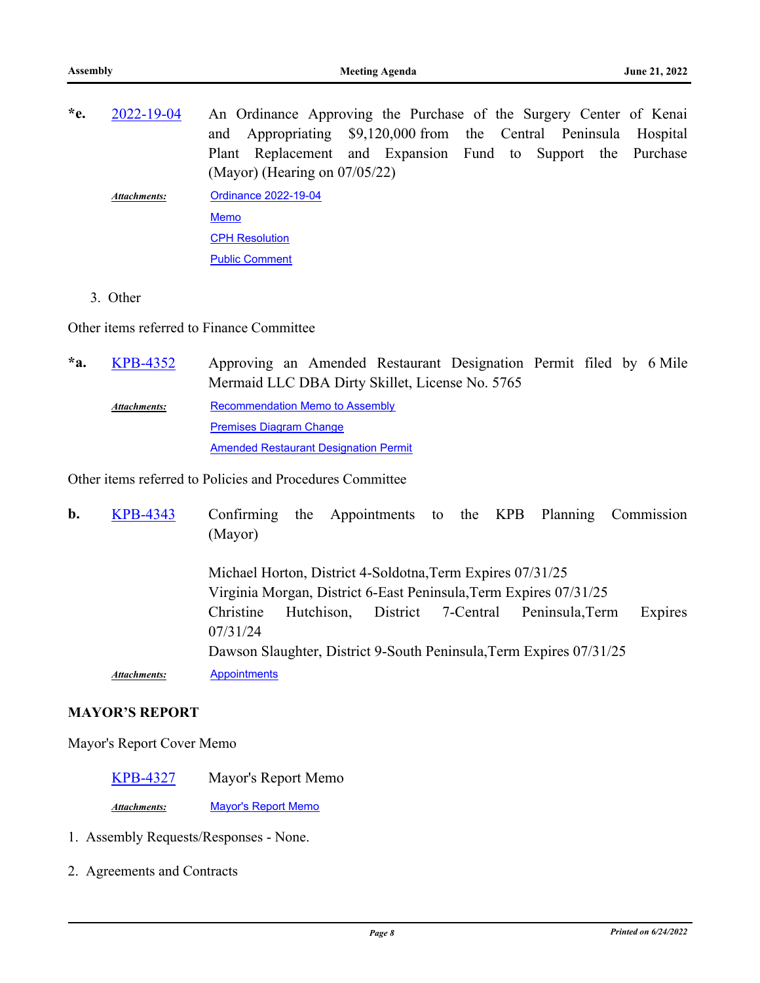| $*e$ . | 2022-19-04   | An Ordinance Approving the Purchase of the Surgery Center of Kenai |
|--------|--------------|--------------------------------------------------------------------|
|        |              | and Appropriating \$9,120,000 from the Central Peninsula Hospital  |
|        |              | Plant Replacement and Expansion Fund to Support the Purchase       |
|        |              | (Mayor) (Hearing on $07/05/22$ )                                   |
|        | Attachments: | Ordinance 2022-19-04                                               |
|        |              | Memo                                                               |
|        |              | <b>CPH Resolution</b>                                              |

[Public Comment](http://kpb.legistar.com/gateway.aspx?M=F&ID=5fe8d212-4c1e-4c8c-a641-7953bd023ea3.pdf)

3. Other

Other items referred to Finance Committee

Approving an Amended Restaurant Designation Permit filed by 6 Mile Mermaid LLC DBA Dirty Skillet, License No. 5765 **\*a.** [KPB-4352](http://kpb.legistar.com/gateway.aspx?m=l&id=/matter.aspx?key=25842) [Recommendation Memo to Assembly](http://kpb.legistar.com/gateway.aspx?M=F&ID=74469d31-ecb6-427d-920e-737b1519f49a.pdf) [Premises Diagram Change](http://kpb.legistar.com/gateway.aspx?M=F&ID=8e8e3897-b246-42bd-9625-9541d80c7d8b.pdf) [Amended Restaurant Designation Permit](http://kpb.legistar.com/gateway.aspx?M=F&ID=f62e1538-4aad-442a-8182-fbc3fe95349e.pdf) *Attachments:*

Other items referred to Policies and Procedures Committee

| b. | <b>KPB-4343</b>     | Confirming<br>(Mayor) | the |                                                                                                                                 |                    |  |                 | Appointments to the KPB Planning Commission |
|----|---------------------|-----------------------|-----|---------------------------------------------------------------------------------------------------------------------------------|--------------------|--|-----------------|---------------------------------------------|
|    |                     |                       |     | Michael Horton, District 4-Soldotna, Term Expires 07/31/25<br>Virginia Morgan, District 6-East Peninsula, Term Expires 07/31/25 |                    |  |                 |                                             |
|    |                     | Christine<br>07/31/24 |     | Hutchison,                                                                                                                      | District 7-Central |  | Peninsula, Term | Expires                                     |
|    |                     |                       |     | Dawson Slaughter, District 9-South Peninsula, Term Expires 07/31/25                                                             |                    |  |                 |                                             |
|    | <b>Attachments:</b> | <b>Appointments</b>   |     |                                                                                                                                 |                    |  |                 |                                             |

## **MAYOR'S REPORT**

### Mayor's Report Cover Memo

[KPB-4327](http://kpb.legistar.com/gateway.aspx?m=l&id=/matter.aspx?key=25817) Mayor's Report Memo

*Attachments:* [Mayor's Report Memo](http://kpb.legistar.com/gateway.aspx?M=F&ID=7af8e5bc-7b16-4869-a58b-0477f3714d83.pdf)

- 1. Assembly Requests/Responses None.
- 2. Agreements and Contracts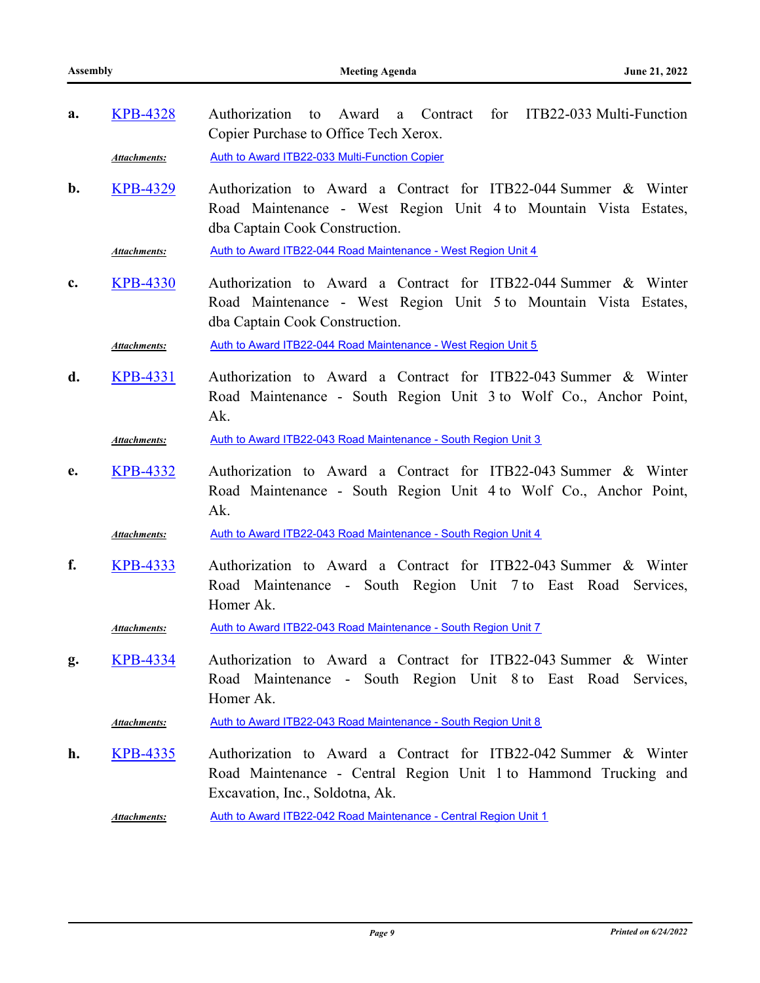| a. | <b>KPB-4328</b>     | a Contract for ITB22-033 Multi-Function<br>Authorization to Award<br>Copier Purchase to Office Tech Xerox.                                                             |
|----|---------------------|------------------------------------------------------------------------------------------------------------------------------------------------------------------------|
|    | Attachments:        | Auth to Award ITB22-033 Multi-Function Copier                                                                                                                          |
| b. | <b>KPB-4329</b>     | Authorization to Award a Contract for ITB22-044 Summer & Winter<br>Road Maintenance - West Region Unit 4 to Mountain Vista Estates,<br>dba Captain Cook Construction.  |
|    | <b>Attachments:</b> | Auth to Award ITB22-044 Road Maintenance - West Region Unit 4                                                                                                          |
| c. | <b>KPB-4330</b>     | Authorization to Award a Contract for ITB22-044 Summer & Winter<br>Road Maintenance - West Region Unit 5 to Mountain Vista Estates,<br>dba Captain Cook Construction.  |
|    | <b>Attachments:</b> | Auth to Award ITB22-044 Road Maintenance - West Region Unit 5                                                                                                          |
| d. | <b>KPB-4331</b>     | Authorization to Award a Contract for ITB22-043 Summer & Winter<br>Road Maintenance - South Region Unit 3 to Wolf Co., Anchor Point,<br>Ak.                            |
|    | Attachments:        | Auth to Award ITB22-043 Road Maintenance - South Region Unit 3                                                                                                         |
| e. | <b>KPB-4332</b>     | Authorization to Award a Contract for ITB22-043 Summer & Winter<br>Road Maintenance - South Region Unit 4 to Wolf Co., Anchor Point,<br>Ak.                            |
|    | Attachments:        | Auth to Award ITB22-043 Road Maintenance - South Region Unit 4                                                                                                         |
| f. | <b>KPB-4333</b>     | Authorization to Award a Contract for ITB22-043 Summer & Winter<br>Road Maintenance - South Region Unit 7 to East Road Services,<br>Homer Ak.                          |
|    | Attachments:        | Auth to Award ITB22-043 Road Maintenance - South Region Unit 7                                                                                                         |
| g. | <b>KPB-4334</b>     | Authorization to Award a Contract for ITB22-043 Summer & Winter<br>Road Maintenance - South Region Unit 8 to East Road Services,<br>Homer Ak.                          |
|    | <b>Attachments:</b> | Auth to Award ITB22-043 Road Maintenance - South Region Unit 8                                                                                                         |
| h. | <b>KPB-4335</b>     | Authorization to Award a Contract for ITB22-042 Summer & Winter<br>Road Maintenance - Central Region Unit 1 to Hammond Trucking and<br>Excavation, Inc., Soldotna, Ak. |
|    | Attachments:        | Auth to Award ITB22-042 Road Maintenance - Central Region Unit 1                                                                                                       |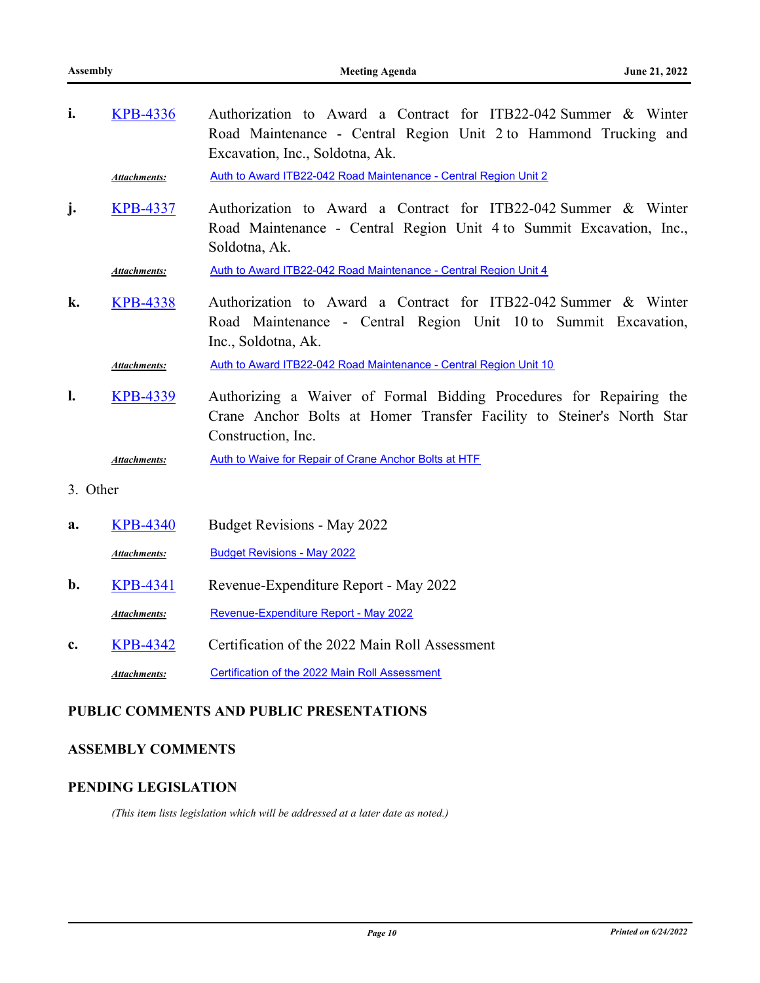| i.             | <b>KPB-4336</b>     | Authorization to Award a Contract for ITB22-042 Summer & Winter<br>Road Maintenance - Central Region Unit 2 to Hammond Trucking and<br>Excavation, Inc., Soldotna, Ak. |
|----------------|---------------------|------------------------------------------------------------------------------------------------------------------------------------------------------------------------|
|                | Attachments:        | Auth to Award ITB22-042 Road Maintenance - Central Region Unit 2                                                                                                       |
| j <sub>1</sub> | <b>KPB-4337</b>     | Authorization to Award a Contract for ITB22-042 Summer & Winter<br>Road Maintenance - Central Region Unit 4 to Summit Excavation, Inc.,<br>Soldotna, Ak.               |
|                | <b>Attachments:</b> | Auth to Award ITB22-042 Road Maintenance - Central Region Unit 4                                                                                                       |
| k.             | <b>KPB-4338</b>     | Authorization to Award a Contract for ITB22-042 Summer & Winter<br>Road Maintenance - Central Region Unit 10 to Summit Excavation,<br>Inc., Soldotna, Ak.              |
|                | <b>Attachments:</b> | Auth to Award ITB22-042 Road Maintenance - Central Region Unit 10                                                                                                      |
| l.             | <b>KPB-4339</b>     | Authorizing a Waiver of Formal Bidding Procedures for Repairing the<br>Crane Anchor Bolts at Homer Transfer Facility to Steiner's North Star<br>Construction, Inc.     |
|                | <b>Attachments:</b> | Auth to Waive for Repair of Crane Anchor Bolts at HTF                                                                                                                  |
| 3. Other       |                     |                                                                                                                                                                        |
| a.             | <b>KPB-4340</b>     | Budget Revisions - May 2022                                                                                                                                            |
|                | <b>Attachments:</b> | <b>Budget Revisions - May 2022</b>                                                                                                                                     |
| b.             | <b>KPB-4341</b>     | Revenue-Expenditure Report - May 2022                                                                                                                                  |
|                | <b>Attachments:</b> | Revenue-Expenditure Report - May 2022                                                                                                                                  |

**c.** [KPB-4342](http://kpb.legistar.com/gateway.aspx?m=l&id=/matter.aspx?key=25832) Certification of the 2022 Main Roll Assessment Attachments: [Certification of the 2022 Main Roll Assessment](http://kpb.legistar.com/gateway.aspx?M=F&ID=2bc3acb9-d614-4144-842f-2d8673b8b0d8.pdf)

## **PUBLIC COMMENTS AND PUBLIC PRESENTATIONS**

## **ASSEMBLY COMMENTS**

### **PENDING LEGISLATION**

*(This item lists legislation which will be addressed at a later date as noted.)*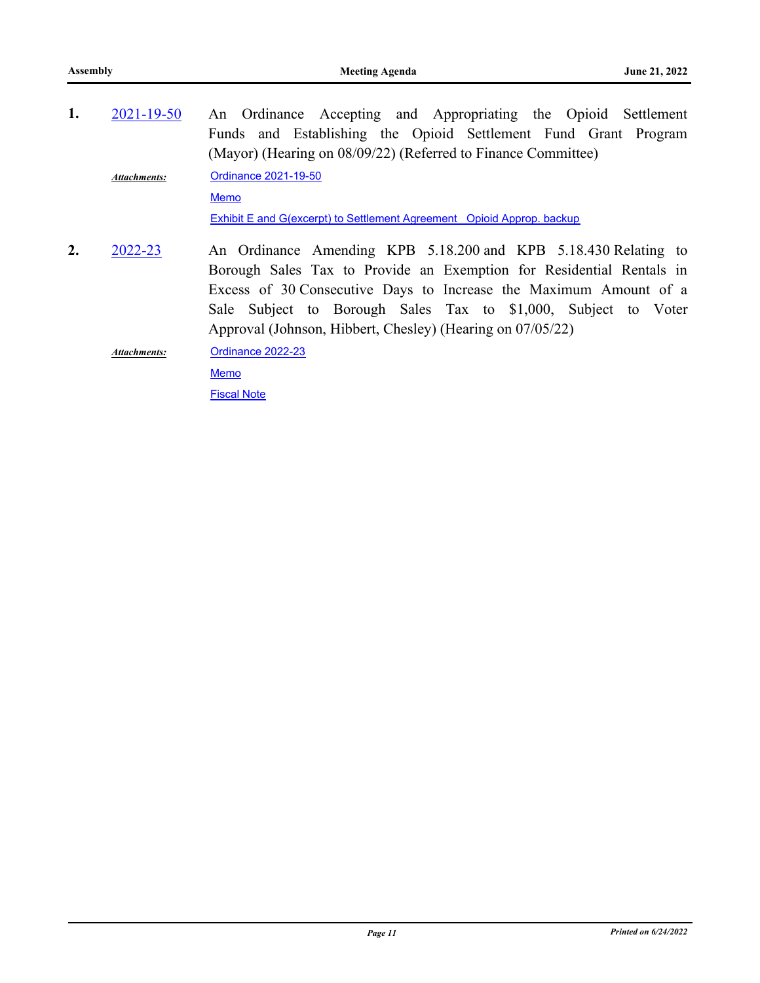| 1. | $2021 - 19 - 50$    | An Ordinance Accepting and Appropriating the Opioid Settlement                                                                                                                                                                                                                                                                               |
|----|---------------------|----------------------------------------------------------------------------------------------------------------------------------------------------------------------------------------------------------------------------------------------------------------------------------------------------------------------------------------------|
|    |                     | Funds and Establishing the Opioid Settlement Fund Grant Program                                                                                                                                                                                                                                                                              |
|    |                     | (Mayor) (Hearing on 08/09/22) (Referred to Finance Committee)                                                                                                                                                                                                                                                                                |
|    | Attachments:        | Ordinance 2021-19-50                                                                                                                                                                                                                                                                                                                         |
|    |                     | <b>Memo</b>                                                                                                                                                                                                                                                                                                                                  |
|    |                     | <b>Exhibit E and G(excerpt) to Settlement Agreement Opioid Approp. backup</b>                                                                                                                                                                                                                                                                |
| 2. | 2022-23             | An Ordinance Amending KPB 5.18.200 and KPB 5.18.430 Relating to<br>Borough Sales Tax to Provide an Exemption for Residential Rentals in<br>Excess of 30 Consecutive Days to Increase the Maximum Amount of a<br>Sale Subject to Borough Sales Tax to \$1,000, Subject to Voter<br>Approval (Johnson, Hibbert, Chesley) (Hearing on 07/05/22) |
|    | <b>Attachments:</b> | Ordinance 2022-23                                                                                                                                                                                                                                                                                                                            |
|    |                     | <b>Memo</b>                                                                                                                                                                                                                                                                                                                                  |
|    |                     | <b>Fiscal Note</b>                                                                                                                                                                                                                                                                                                                           |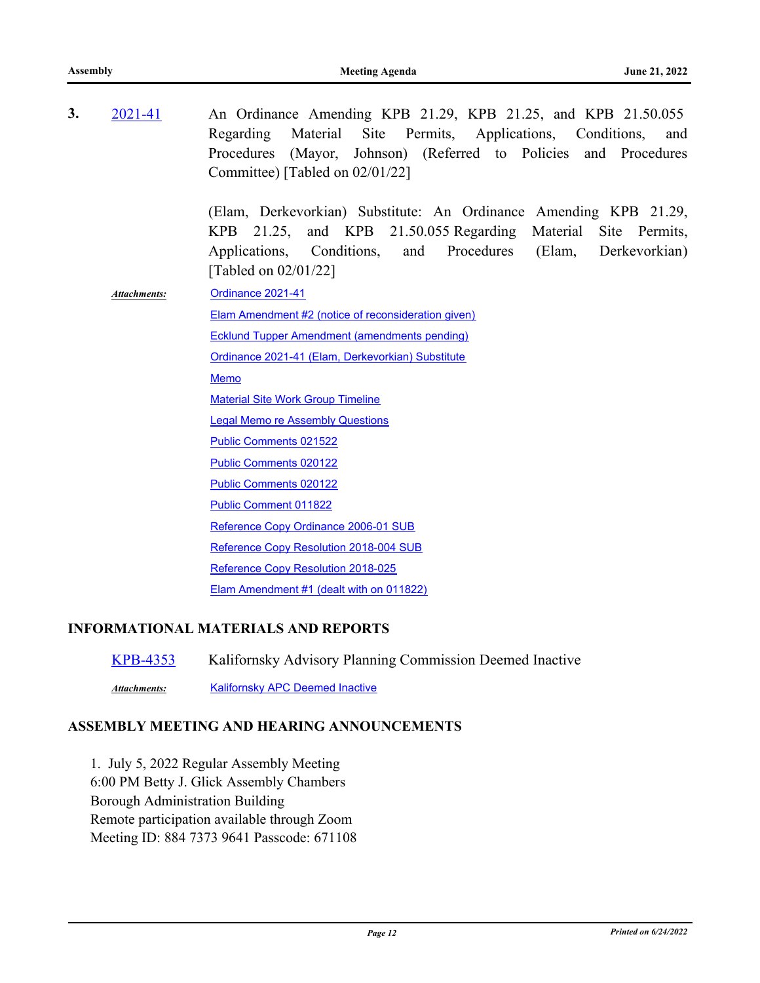| 3. | 2021-41             | An Ordinance Amending KPB 21.29, KPB 21.25, and KPB 21.50.055<br>Material Site<br>Regarding<br>Permits, Applications, Conditions,<br>and<br>(Mayor, Johnson) (Referred to Policies and Procedures<br>Procedures<br>Committee) [Tabled on 02/01/22] |
|----|---------------------|----------------------------------------------------------------------------------------------------------------------------------------------------------------------------------------------------------------------------------------------------|
|    |                     | (Elam, Derkevorkian) Substitute: An Ordinance Amending KPB 21.29,<br>and KPB 21.50.055 Regarding Material Site Permits,<br>KPB 21.25,<br>Applications,<br>Conditions,<br>and Procedures<br>(Elam,<br>Derkevorkian)<br>[Tabled on $02/01/22$ ]      |
|    | <b>Attachments:</b> | Ordinance 2021-41                                                                                                                                                                                                                                  |
|    |                     | <b>Elam Amendment #2 (notice of reconsideration given)</b>                                                                                                                                                                                         |
|    |                     | <b>Ecklund Tupper Amendment (amendments pending)</b>                                                                                                                                                                                               |
|    |                     | Ordinance 2021-41 (Elam, Derkevorkian) Substitute                                                                                                                                                                                                  |
|    |                     | Memo                                                                                                                                                                                                                                               |
|    |                     | <b>Material Site Work Group Timeline</b>                                                                                                                                                                                                           |
|    |                     | <b>Legal Memo re Assembly Questions</b>                                                                                                                                                                                                            |
|    |                     | Public Comments 021522                                                                                                                                                                                                                             |
|    |                     | <b>Public Comments 020122</b>                                                                                                                                                                                                                      |
|    |                     | <b>Public Comments 020122</b>                                                                                                                                                                                                                      |
|    |                     | <b>Public Comment 011822</b>                                                                                                                                                                                                                       |
|    |                     | Reference Copy Ordinance 2006-01 SUB                                                                                                                                                                                                               |
|    |                     | Reference Copy Resolution 2018-004 SUB                                                                                                                                                                                                             |
|    |                     | Reference Copy Resolution 2018-025                                                                                                                                                                                                                 |
|    |                     | Elam Amendment #1 (dealt with on 011822)                                                                                                                                                                                                           |
|    |                     |                                                                                                                                                                                                                                                    |

## **INFORMATIONAL MATERIALS AND REPORTS**

| KPB-4353     | Kalifornsky Advisory Planning Commission Deemed Inactive |
|--------------|----------------------------------------------------------|
| Attachments: | <b>Kalifornsky APC Deemed Inactive</b>                   |

## **ASSEMBLY MEETING AND HEARING ANNOUNCEMENTS**

1. July 5, 2022 Regular Assembly Meeting 6:00 PM Betty J. Glick Assembly Chambers Borough Administration Building Remote participation available through Zoom Meeting ID: 884 7373 9641 Passcode: 671108